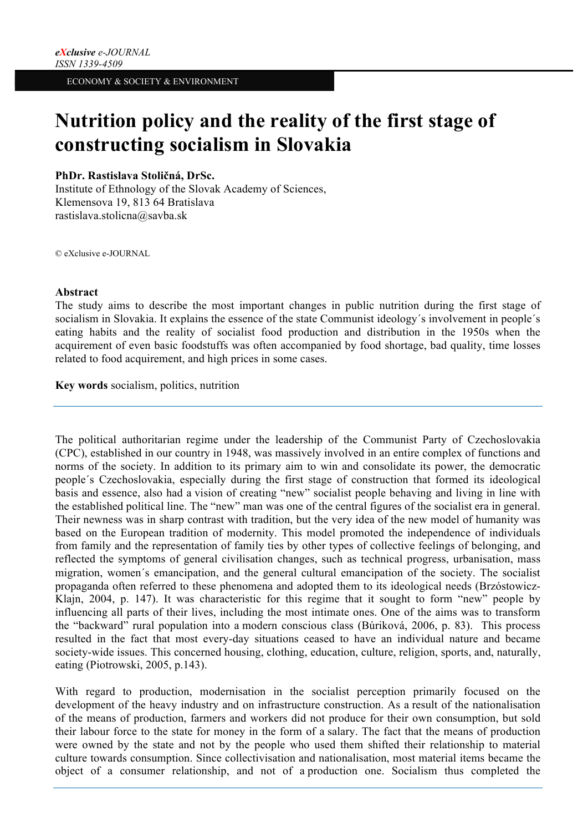# **Nutrition policy and the reality of the first stage of constructing socialism in Slovakia**

## **PhDr. Rastislava Stoličná, DrSc.**

Institute of Ethnology of the Slovak Academy of Sciences, Klemensova 19, 813 64 Bratislava rastislava.stolicna@savba.sk

© eXclusive e-JOURNAL

## **Abstract**

The study aims to describe the most important changes in public nutrition during the first stage of socialism in Slovakia. It explains the essence of the state Communist ideology´s involvement in people´s eating habits and the reality of socialist food production and distribution in the 1950s when the acquirement of even basic foodstuffs was often accompanied by food shortage, bad quality, time losses related to food acquirement, and high prices in some cases.

**Key words** socialism, politics, nutrition

The political authoritarian regime under the leadership of the Communist Party of Czechoslovakia (CPC), established in our country in 1948, was massively involved in an entire complex of functions and norms of the society. In addition to its primary aim to win and consolidate its power, the democratic people´s Czechoslovakia, especially during the first stage of construction that formed its ideological basis and essence, also had a vision of creating "new" socialist people behaving and living in line with the established political line. The "new" man was one of the central figures of the socialist era in general. Their newness was in sharp contrast with tradition, but the very idea of the new model of humanity was based on the European tradition of modernity. This model promoted the independence of individuals from family and the representation of family ties by other types of collective feelings of belonging, and reflected the symptoms of general civilisation changes, such as technical progress, urbanisation, mass migration, women´s emancipation, and the general cultural emancipation of the society. The socialist propaganda often referred to these phenomena and adopted them to its ideological needs (Brzóstowicz-Klajn, 2004, p. 147). It was characteristic for this regime that it sought to form "new" people by influencing all parts of their lives, including the most intimate ones. One of the aims was to transform the "backward" rural population into a modern conscious class (Búriková, 2006, p. 83). This process resulted in the fact that most every-day situations ceased to have an individual nature and became society-wide issues. This concerned housing, clothing, education, culture, religion, sports, and, naturally, eating (Piotrowski, 2005, p.143).

With regard to production, modernisation in the socialist perception primarily focused on the development of the heavy industry and on infrastructure construction. As a result of the nationalisation of the means of production, farmers and workers did not produce for their own consumption, but sold their labour force to the state for money in the form of a salary. The fact that the means of production were owned by the state and not by the people who used them shifted their relationship to material culture towards consumption. Since collectivisation and nationalisation, most material items became the object of a consumer relationship, and not of a production one. Socialism thus completed the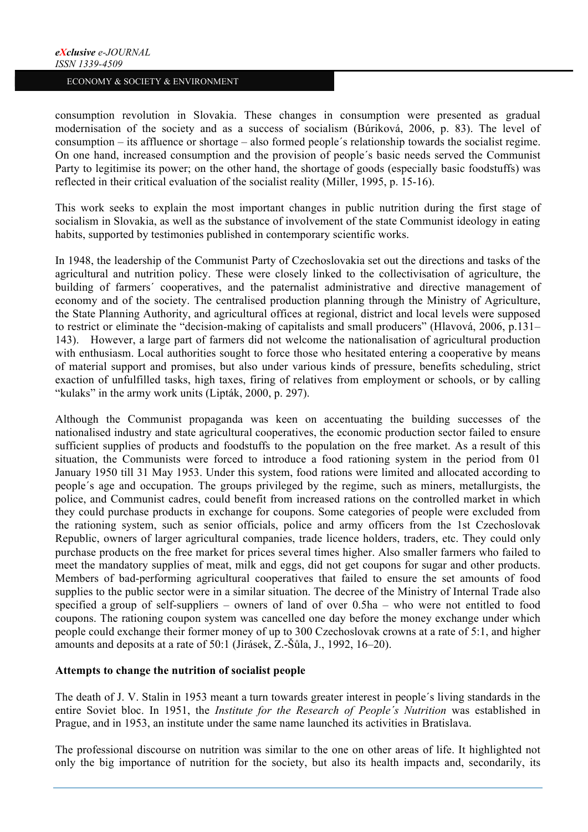consumption revolution in Slovakia. These changes in consumption were presented as gradual modernisation of the society and as a success of socialism (Búriková, 2006, p. 83). The level of consumption – its affluence or shortage – also formed people´s relationship towards the socialist regime. On one hand, increased consumption and the provision of people´s basic needs served the Communist Party to legitimise its power; on the other hand, the shortage of goods (especially basic foodstuffs) was reflected in their critical evaluation of the socialist reality (Miller, 1995, p. 15-16).

This work seeks to explain the most important changes in public nutrition during the first stage of socialism in Slovakia, as well as the substance of involvement of the state Communist ideology in eating habits, supported by testimonies published in contemporary scientific works.

In 1948, the leadership of the Communist Party of Czechoslovakia set out the directions and tasks of the agricultural and nutrition policy. These were closely linked to the collectivisation of agriculture, the building of farmers´ cooperatives, and the paternalist administrative and directive management of economy and of the society. The centralised production planning through the Ministry of Agriculture, the State Planning Authority, and agricultural offices at regional, district and local levels were supposed to restrict or eliminate the "decision-making of capitalists and small producers" (Hlavová, 2006, p.131– 143). However, a large part of farmers did not welcome the nationalisation of agricultural production with enthusiasm. Local authorities sought to force those who hesitated entering a cooperative by means of material support and promises, but also under various kinds of pressure, benefits scheduling, strict exaction of unfulfilled tasks, high taxes, firing of relatives from employment or schools, or by calling "kulaks" in the army work units (Lipták, 2000, p. 297).

Although the Communist propaganda was keen on accentuating the building successes of the nationalised industry and state agricultural cooperatives, the economic production sector failed to ensure sufficient supplies of products and foodstuffs to the population on the free market. As a result of this situation, the Communists were forced to introduce a food rationing system in the period from 01 January 1950 till 31 May 1953. Under this system, food rations were limited and allocated according to people´s age and occupation. The groups privileged by the regime, such as miners, metallurgists, the police, and Communist cadres, could benefit from increased rations on the controlled market in which they could purchase products in exchange for coupons. Some categories of people were excluded from the rationing system, such as senior officials, police and army officers from the 1st Czechoslovak Republic, owners of larger agricultural companies, trade licence holders, traders, etc. They could only purchase products on the free market for prices several times higher. Also smaller farmers who failed to meet the mandatory supplies of meat, milk and eggs, did not get coupons for sugar and other products. Members of bad-performing agricultural cooperatives that failed to ensure the set amounts of food supplies to the public sector were in a similar situation. The decree of the Ministry of Internal Trade also specified a group of self-suppliers – owners of land of over 0.5ha – who were not entitled to food coupons. The rationing coupon system was cancelled one day before the money exchange under which people could exchange their former money of up to 300 Czechoslovak crowns at a rate of 5:1, and higher amounts and deposits at a rate of 50:1 (Jirásek, Z.-Šůla, J., 1992, 16–20).

## **Attempts to change the nutrition of socialist people**

The death of J. V. Stalin in 1953 meant a turn towards greater interest in people´s living standards in the entire Soviet bloc. In 1951, the *Institute for the Research of People´s Nutrition* was established in Prague, and in 1953, an institute under the same name launched its activities in Bratislava.

The professional discourse on nutrition was similar to the one on other areas of life. It highlighted not only the big importance of nutrition for the society, but also its health impacts and, secondarily, its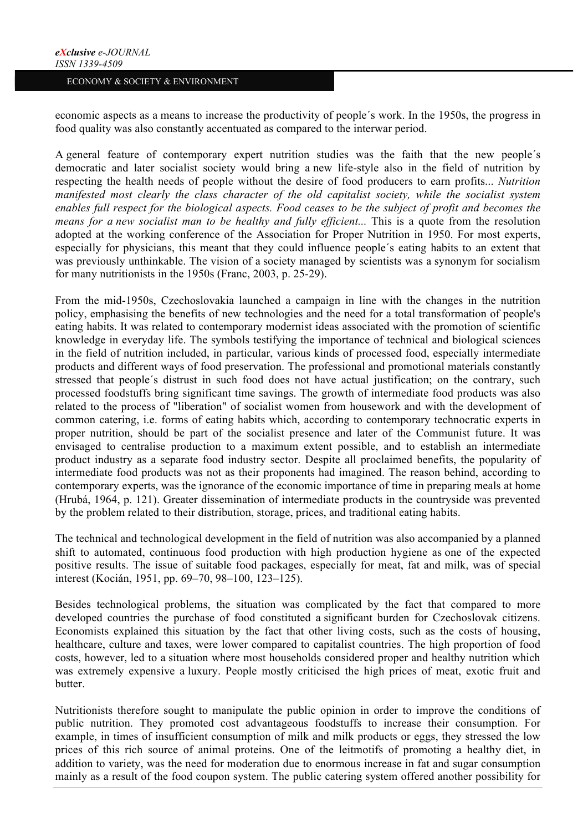economic aspects as a means to increase the productivity of people´s work. In the 1950s, the progress in food quality was also constantly accentuated as compared to the interwar period.

A general feature of contemporary expert nutrition studies was the faith that the new people´s democratic and later socialist society would bring a new life-style also in the field of nutrition by respecting the health needs of people without the desire of food producers to earn profits... *Nutrition manifested most clearly the class character of the old capitalist society, while the socialist system enables full respect for the biological aspects. Food ceases to be the subject of profit and becomes the means for a new socialist man to be healthy and fully efficient...* This is a quote from the resolution adopted at the working conference of the Association for Proper Nutrition in 1950. For most experts, especially for physicians, this meant that they could influence people´s eating habits to an extent that was previously unthinkable. The vision of a society managed by scientists was a synonym for socialism for many nutritionists in the 1950s (Franc, 2003, p. 25-29).

From the mid-1950s, Czechoslovakia launched a campaign in line with the changes in the nutrition policy, emphasising the benefits of new technologies and the need for a total transformation of people's eating habits. It was related to contemporary modernist ideas associated with the promotion of scientific knowledge in everyday life. The symbols testifying the importance of technical and biological sciences in the field of nutrition included, in particular, various kinds of processed food, especially intermediate products and different ways of food preservation. The professional and promotional materials constantly stressed that people´s distrust in such food does not have actual justification; on the contrary, such processed foodstuffs bring significant time savings. The growth of intermediate food products was also related to the process of "liberation" of socialist women from housework and with the development of common catering, i.e. forms of eating habits which, according to contemporary technocratic experts in proper nutrition, should be part of the socialist presence and later of the Communist future. It was envisaged to centralise production to a maximum extent possible, and to establish an intermediate product industry as a separate food industry sector. Despite all proclaimed benefits, the popularity of intermediate food products was not as their proponents had imagined. The reason behind, according to contemporary experts, was the ignorance of the economic importance of time in preparing meals at home (Hrubá, 1964, p. 121). Greater dissemination of intermediate products in the countryside was prevented by the problem related to their distribution, storage, prices, and traditional eating habits.

The technical and technological development in the field of nutrition was also accompanied by a planned shift to automated, continuous food production with high production hygiene as one of the expected positive results. The issue of suitable food packages, especially for meat, fat and milk, was of special interest (Kocián, 1951, pp. 69–70, 98–100, 123–125).

Besides technological problems, the situation was complicated by the fact that compared to more developed countries the purchase of food constituted a significant burden for Czechoslovak citizens. Economists explained this situation by the fact that other living costs, such as the costs of housing, healthcare, culture and taxes, were lower compared to capitalist countries. The high proportion of food costs, however, led to a situation where most households considered proper and healthy nutrition which was extremely expensive a luxury. People mostly criticised the high prices of meat, exotic fruit and butter.

Nutritionists therefore sought to manipulate the public opinion in order to improve the conditions of public nutrition. They promoted cost advantageous foodstuffs to increase their consumption. For example, in times of insufficient consumption of milk and milk products or eggs, they stressed the low prices of this rich source of animal proteins. One of the leitmotifs of promoting a healthy diet, in addition to variety, was the need for moderation due to enormous increase in fat and sugar consumption mainly as a result of the food coupon system. The public catering system offered another possibility for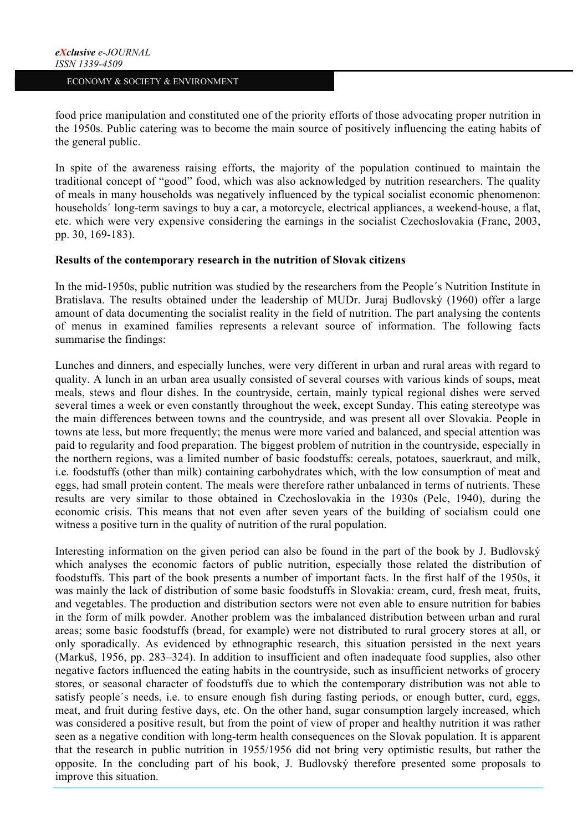food price manipulation and constituted one of the priority efforts of those advocating proper nutrition in the 1950s. Public catering was to become the main source of positively influencing the eating habits of the general public.

In spite of the awareness raising efforts, the majority of the population continued to maintain the traditional concept of "good" food, which was also acknowledged by nutrition researchers. The quality of meals in many households was negatively influenced by the typical socialist economic phenomenon: households' long-term savings to buy a car, a motorcycle, electrical appliances, a weekend-house, a flat. etc. which were very expensive considering the earnings in the socialist Czechoslovakia (Franc, 2003, pp. 30, 169-183).

## **Results of the contemporary research in the nutrition of Slovak citizens**

In the mid-1950s, public nutrition was studied by the researchers from the People´s Nutrition Institute in Bratislava. The results obtained under the leadership of MUDr. Juraj Budlovský (1960) offer a large amount of data documenting the socialist reality in the field of nutrition. The part analysing the contents of menus in examined families represents a relevant source of information. The following facts summarise the findings:

Lunches and dinners, and especially lunches, were very different in urban and rural areas with regard to quality. A lunch in an urban area usually consisted of several courses with various kinds of soups, meat meals, stews and flour dishes. In the countryside, certain, mainly typical regional dishes were served several times a week or even constantly throughout the week, except Sunday. This eating stereotype was the main differences between towns and the countryside, and was present all over Slovakia. People in towns ate less, but more frequently; the menus were more varied and balanced, and special attention was paid to regularity and food preparation. The biggest problem of nutrition in the countryside, especially in the northern regions, was a limited number of basic foodstuffs: cereals, potatoes, sauerkraut, and milk, i.e. foodstuffs (other than milk) containing carbohydrates which, with the low consumption of meat and eggs, had small protein content. The meals were therefore rather unbalanced in terms of nutrients. These results are very similar to those obtained in Czechoslovakia in the 1930s (Pelc, 1940), during the economic crisis. This means that not even after seven years of the building of socialism could one witness a positive turn in the quality of nutrition of the rural population.

Interesting information on the given period can also be found in the part of the book by J. Budlovský which analyses the economic factors of public nutrition, especially those related the distribution of foodstuffs. This part of the book presents a number of important facts. In the first half of the 1950s, it was mainly the lack of distribution of some basic foodstuffs in Slovakia: cream, curd, fresh meat, fruits, and vegetables. The production and distribution sectors were not even able to ensure nutrition for babies in the form of milk powder. Another problem was the imbalanced distribution between urban and rural areas; some basic foodstuffs (bread, for example) were not distributed to rural grocery stores at all, or only sporadically. As evidenced by ethnographic research, this situation persisted in the next years (Markuš, 1956, pp. 283–324). In addition to insufficient and often inadequate food supplies, also other negative factors influenced the eating habits in the countryside, such as insufficient networks of grocery stores, or seasonal character of foodstuffs due to which the contemporary distribution was not able to satisfy people´s needs, i.e. to ensure enough fish during fasting periods, or enough butter, curd, eggs, meat, and fruit during festive days, etc. On the other hand, sugar consumption largely increased, which was considered a positive result, but from the point of view of proper and healthy nutrition it was rather seen as a negative condition with long-term health consequences on the Slovak population. It is apparent that the research in public nutrition in 1955/1956 did not bring very optimistic results, but rather the opposite. In the concluding part of his book, J. Budlovský therefore presented some proposals to improve this situation.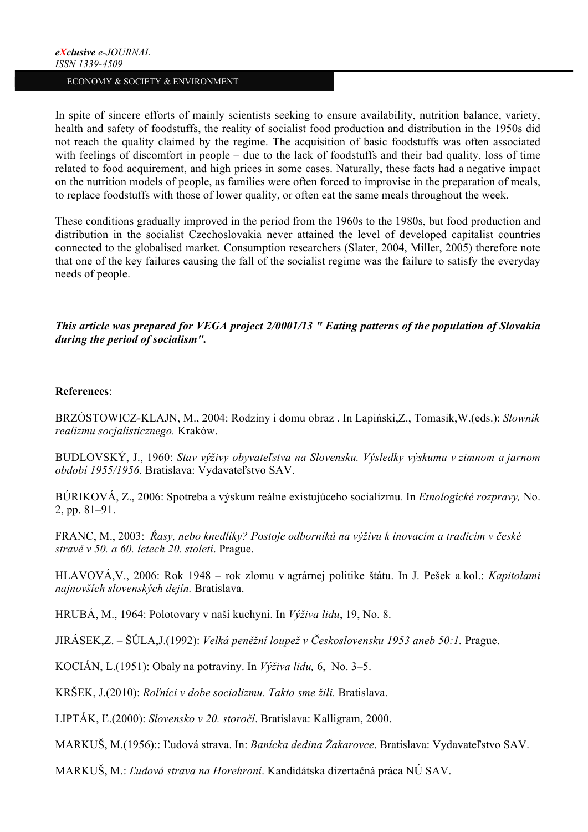In spite of sincere efforts of mainly scientists seeking to ensure availability, nutrition balance, variety, health and safety of foodstuffs, the reality of socialist food production and distribution in the 1950s did not reach the quality claimed by the regime. The acquisition of basic foodstuffs was often associated with feelings of discomfort in people – due to the lack of foodstuffs and their bad quality, loss of time related to food acquirement, and high prices in some cases. Naturally, these facts had a negative impact on the nutrition models of people, as families were often forced to improvise in the preparation of meals, to replace foodstuffs with those of lower quality, or often eat the same meals throughout the week.

These conditions gradually improved in the period from the 1960s to the 1980s, but food production and distribution in the socialist Czechoslovakia never attained the level of developed capitalist countries connected to the globalised market. Consumption researchers (Slater, 2004, Miller, 2005) therefore note that one of the key failures causing the fall of the socialist regime was the failure to satisfy the everyday needs of people.

*This article was prepared for VEGA project 2/0001/13 " Eating patterns of the population of Slovakia during the period of socialism".*

### **References**:

BRZÓSTOWICZ-KLAJN, M., 2004: Rodziny i domu obraz . In Lapiński,Z., Tomasik,W.(eds.): *Slownik realizmu socjalisticznego.* Kraków.

BUDLOVSKÝ, J., 1960: *Stav výživy obyvateľstva na Slovensku. Výsledky výskumu v zimnom a jarnom období 1955/1956.* Bratislava: Vydavateľstvo SAV.

BÚRIKOVÁ, Z., 2006: Spotreba a výskum reálne existujúceho socializmu*.* In *Etnologické rozpravy,* No. 2, pp. 81–91.

FRANC, M., 2003: *Řasy, nebo knedlíky? Postoje odborníků na výživu k inovacím a tradicím v české stravě v 50. a 60. letech 20. století*. Prague.

HLAVOVÁ,V., 2006: Rok 1948 – rok zlomu v agrárnej politike štátu. In J. Pešek a kol.: *Kapitolami najnovších slovenských dejín.* Bratislava.

HRUBÁ, M., 1964: Polotovary v naší kuchyni. In *Výživa lidu*, 19, No. 8.

JIRÁSEK,Z. – ŠŮLA,J.(1992): *Velká peněžní loupež v Československu 1953 aneb 50:1.* Prague.

KOCIÁN, L.(1951): Obaly na potraviny. In *Výživa lidu,* 6, No. 3–5.

KRŠEK, J.(2010): *Roľníci v dobe socializmu. Takto sme žili.* Bratislava.

LIPTÁK, Ľ.(2000): *Slovensko v 20. storočí*. Bratislava: Kalligram, 2000.

MARKUŠ, M.(1956):: Ľudová strava. In: *Banícka dedina Žakarovce*. Bratislava: Vydavateľstvo SAV.

MARKUŠ, M.: *Ľudová strava na Horehroní*. Kandidátska dizertačná práca NÚ SAV.